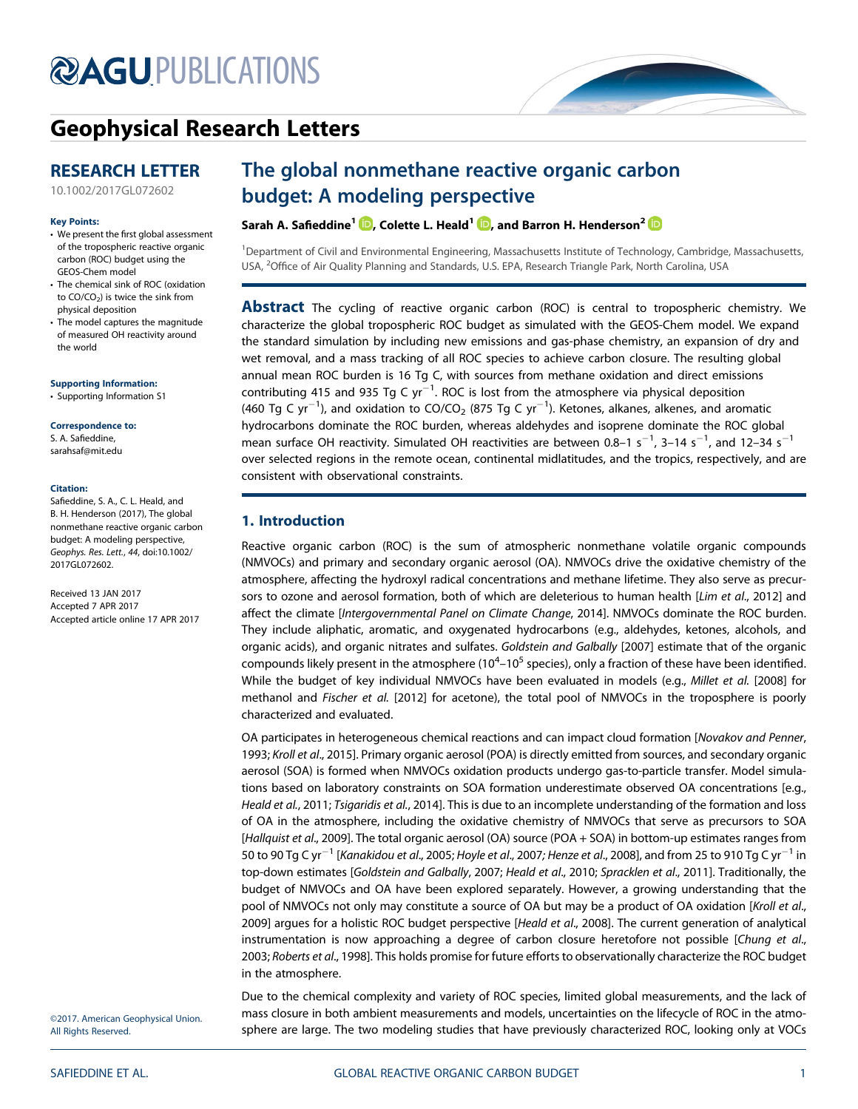# **@AGU[PUBLICATIONS](http://publications.agu.org/journals/)**



# [Geophysical Research Letters](http://onlinelibrary.wiley.com/journal/10.1002/(ISSN)1944-8007)

# RESEARCH LETTER

[10.1002/2017GL072602](http://dx.doi.org/10.1002/2017GL072602)

#### Key Points:

- We present the first global assessment of the tropospheric reactive organic carbon (ROC) budget using the GEOS-Chem model
- The chemical sink of ROC (oxidation to  $CO/CO<sub>2</sub>$ ) is twice the sink from physical deposition
- The model captures the magnitude of measured OH reactivity around the world

[Supporting Information:](http://dx.doi.org/10.1002/2017GL072602)

[•](http://dx.doi.org/10.1002/2017GL072602) [Supporting Information S1](http://dx.doi.org/10.1002/2017GL072602)

#### Correspondence to:

S. A. Safieddine, [sarahsaf@mit.edu](mailto:sarahsaf@mit.edu)

#### Citation:

Safieddine, S. A., C. L. Heald, and B. H. Henderson (2017), The global nonmethane reactive organic carbon budget: A modeling perspective, Geophys. Res. Lett., 44, doi:10.1002/ 2017GL072602.

Received 13 JAN 2017 Accepted 7 APR 2017 Accepted article online 17 APR 2017

©2017. American Geophysical Union. All Rights Reserved.

# The global nonmethane reactive organic carbon budget: A modeling perspective

Sarah A. Safieddine<sup>1</sup>  $\blacksquare$ , Colette L. Heald<sup>1</sup>  $\blacksquare$ , and Barron H. Henderson<sup>2</sup>  $\blacksquare$ 

<sup>1</sup>Department of Civil and Environmental Engineering, Massachusetts Institute of Technology, Cambridge, Massachusetts, USA, <sup>2</sup>Office of Air Quality Planning and Standards, U.S. EPA, Research Triangle Park, North Carolina, USA

**Abstract** The cycling of reactive organic carbon (ROC) is central to tropospheric chemistry. We characterize the global tropospheric ROC budget as simulated with the GEOS-Chem model. We expand the standard simulation by including new emissions and gas-phase chemistry, an expansion of dry and wet removal, and a mass tracking of all ROC species to achieve carbon closure. The resulting global annual mean ROC burden is 16 Tg C, with sources from methane oxidation and direct emissions contributing 415 and 935 Tg C yr $^{-1}$ . ROC is lost from the atmosphere via physical deposition (460 Tg C yr $^{-1}$ ), and oxidation to CO/CO $_{2}$  (875 Tg C yr $^{-1}$ ). Ketones, alkanes, alkenes, and aromatic hydrocarbons dominate the ROC burden, whereas aldehydes and isoprene dominate the ROC global mean surface OH reactivity. Simulated OH reactivities are between 0.8–1 s<sup>-1</sup>, 3–14 s<sup>-1</sup>, and 12–34 s<sup>-1</sup> over selected regions in the remote ocean, continental midlatitudes, and the tropics, respectively, and are consistent with observational constraints.

## 1. Introduction

Reactive organic carbon (ROC) is the sum of atmospheric nonmethane volatile organic compounds (NMVOCs) and primary and secondary organic aerosol (OA). NMVOCs drive the oxidative chemistry of the atmosphere, affecting the hydroxyl radical concentrations and methane lifetime. They also serve as precursors to ozone and aerosol formation, both of which are deleterious to human health [Lim et al., 2012] and affect the climate [Intergovernmental Panel on Climate Change, 2014]. NMVOCs dominate the ROC burden. They include aliphatic, aromatic, and oxygenated hydrocarbons (e.g., aldehydes, ketones, alcohols, and organic acids), and organic nitrates and sulfates. Goldstein and Galbally [2007] estimate that of the organic compounds likely present in the atmosphere (10 $^{4}$ –10 $^{5}$  species), only a fraction of these have been identified. While the budget of key individual NMVOCs have been evaluated in models (e.g., Millet et al. [2008] for methanol and Fischer et al. [2012] for acetone), the total pool of NMVOCs in the troposphere is poorly characterized and evaluated.

OA participates in heterogeneous chemical reactions and can impact cloud formation [Novakov and Penner, 1993; Kroll et al., 2015]. Primary organic aerosol (POA) is directly emitted from sources, and secondary organic aerosol (SOA) is formed when NMVOCs oxidation products undergo gas-to-particle transfer. Model simulations based on laboratory constraints on SOA formation underestimate observed OA concentrations [e.g., Heald et al., 2011; Tsigaridis et al., 2014]. This is due to an incomplete understanding of the formation and loss of OA in the atmosphere, including the oxidative chemistry of NMVOCs that serve as precursors to SOA [Hallquist et al., 2009]. The total organic aerosol (OA) source (POA + SOA) in bottom-up estimates ranges from 50 to 90 Tg C yr<sup>-1</sup> [Kanakidou et al., 2005; Hoyle et al., 2007; Henze et al., 2008], and from 25 to 910 Tg C yr<sup>-1</sup> in top-down estimates [Goldstein and Galbally, 2007; Heald et al., 2010; Spracklen et al., 2011]. Traditionally, the budget of NMVOCs and OA have been explored separately. However, a growing understanding that the pool of NMVOCs not only may constitute a source of OA but may be a product of OA oxidation [Kroll et al., 2009] argues for a holistic ROC budget perspective [Heald et al., 2008]. The current generation of analytical instrumentation is now approaching a degree of carbon closure heretofore not possible [Chung et al., 2003; Roberts et al., 1998]. This holds promise for future efforts to observationally characterize the ROC budget in the atmosphere.

Due to the chemical complexity and variety of ROC species, limited global measurements, and the lack of mass closure in both ambient measurements and models, uncertainties on the lifecycle of ROC in the atmosphere are large. The two modeling studies that have previously characterized ROC, looking only at VOCs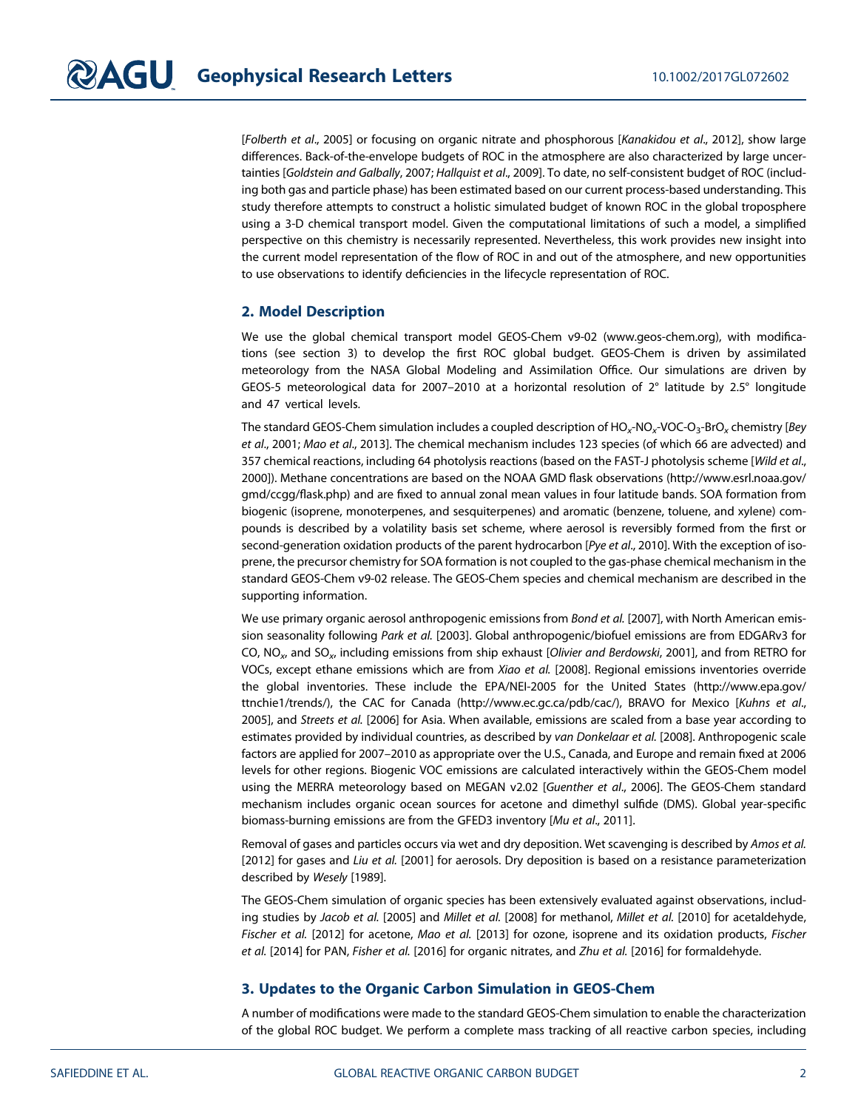[Folberth et al., 2005] or focusing on organic nitrate and phosphorous [Kanakidou et al., 2012], show large differences. Back-of-the-envelope budgets of ROC in the atmosphere are also characterized by large uncertainties [Goldstein and Galbally, 2007; Hallquist et al., 2009]. To date, no self-consistent budget of ROC (including both gas and particle phase) has been estimated based on our current process-based understanding. This study therefore attempts to construct a holistic simulated budget of known ROC in the global troposphere using a 3-D chemical transport model. Given the computational limitations of such a model, a simplified perspective on this chemistry is necessarily represented. Nevertheless, this work provides new insight into the current model representation of the flow of ROC in and out of the atmosphere, and new opportunities to use observations to identify deficiencies in the lifecycle representation of ROC.

## 2. Model Description

We use the global chemical transport model GEOS-Chem v9-02 [\(www.geos-chem.org\)](http://www.geos-chem.org), with modifications (see section 3) to develop the first ROC global budget. GEOS-Chem is driven by assimilated meteorology from the NASA Global Modeling and Assimilation Office. Our simulations are driven by GEOS-5 meteorological data for 2007–2010 at a horizontal resolution of 2° latitude by 2.5° longitude and 47 vertical levels.

The standard GEOS-Chem simulation includes a coupled description of  $HO_{x}NO_{x}-VOC-O_{3}-BrO_{x}$  chemistry [Bey et al., 2001; Mao et al., 2013]. The chemical mechanism includes 123 species (of which 66 are advected) and 357 chemical reactions, including 64 photolysis reactions (based on the FAST-J photolysis scheme [Wild et al., 2000]). Methane concentrations are based on the NOAA GMD flask observations [\(http://www.esrl.noaa.gov/](http://www.esrl.noaa.gov/gmd/ccgg/flask.php) [gmd/ccgg/](http://www.esrl.noaa.gov/gmd/ccgg/flask.php)flask.php) and are fixed to annual zonal mean values in four latitude bands. SOA formation from biogenic (isoprene, monoterpenes, and sesquiterpenes) and aromatic (benzene, toluene, and xylene) compounds is described by a volatility basis set scheme, where aerosol is reversibly formed from the first or second-generation oxidation products of the parent hydrocarbon [Pye et al., 2010]. With the exception of isoprene, the precursor chemistry for SOA formation is not coupled to the gas-phase chemical mechanism in the standard GEOS-Chem v9-02 release. The GEOS-Chem species and chemical mechanism are described in the supporting information.

We use primary organic aerosol anthropogenic emissions from Bond et al. [2007], with North American emission seasonality following Park et al. [2003]. Global anthropogenic/biofuel emissions are from EDGARv3 for CO, NO<sub>x</sub>, and SO<sub>x</sub>, including emissions from ship exhaust [Olivier and Berdowski, 2001], and from RETRO for VOCs, except ethane emissions which are from Xiao et al. [2008]. Regional emissions inventories override the global inventories. These include the EPA/NEI-2005 for the United States ([http://www.epa.gov/](http://www.epa.gov/ttnchie1/trends/) [ttnchie1/trends/](http://www.epa.gov/ttnchie1/trends/)), the CAC for Canada ([http://www.ec.gc.ca/pdb/cac/\)](http://www.ec.gc.ca/pdb/cac/), BRAVO for Mexico [Kuhns et al., 2005], and Streets et al. [2006] for Asia. When available, emissions are scaled from a base year according to estimates provided by individual countries, as described by van Donkelaar et al. [2008]. Anthropogenic scale factors are applied for 2007–2010 as appropriate over the U.S., Canada, and Europe and remain fixed at 2006 levels for other regions. Biogenic VOC emissions are calculated interactively within the GEOS-Chem model using the MERRA meteorology based on MEGAN v2.02 [Guenther et al., 2006]. The GEOS-Chem standard mechanism includes organic ocean sources for acetone and dimethyl sulfide (DMS). Global year-specific biomass-burning emissions are from the GFED3 inventory [Mu et al., 2011].

Removal of gases and particles occurs via wet and dry deposition. Wet scavenging is described by Amos et al. [2012] for gases and Liu et al. [2001] for aerosols. Dry deposition is based on a resistance parameterization described by Wesely [1989].

The GEOS-Chem simulation of organic species has been extensively evaluated against observations, including studies by Jacob et al. [2005] and Millet et al. [2008] for methanol, Millet et al. [2010] for acetaldehyde, Fischer et al. [2012] for acetone, Mao et al. [2013] for ozone, isoprene and its oxidation products, Fischer et al. [2014] for PAN, Fisher et al. [2016] for organic nitrates, and Zhu et al. [2016] for formaldehyde.

## 3. Updates to the Organic Carbon Simulation in GEOS-Chem

A number of modifications were made to the standard GEOS-Chem simulation to enable the characterization of the global ROC budget. We perform a complete mass tracking of all reactive carbon species, including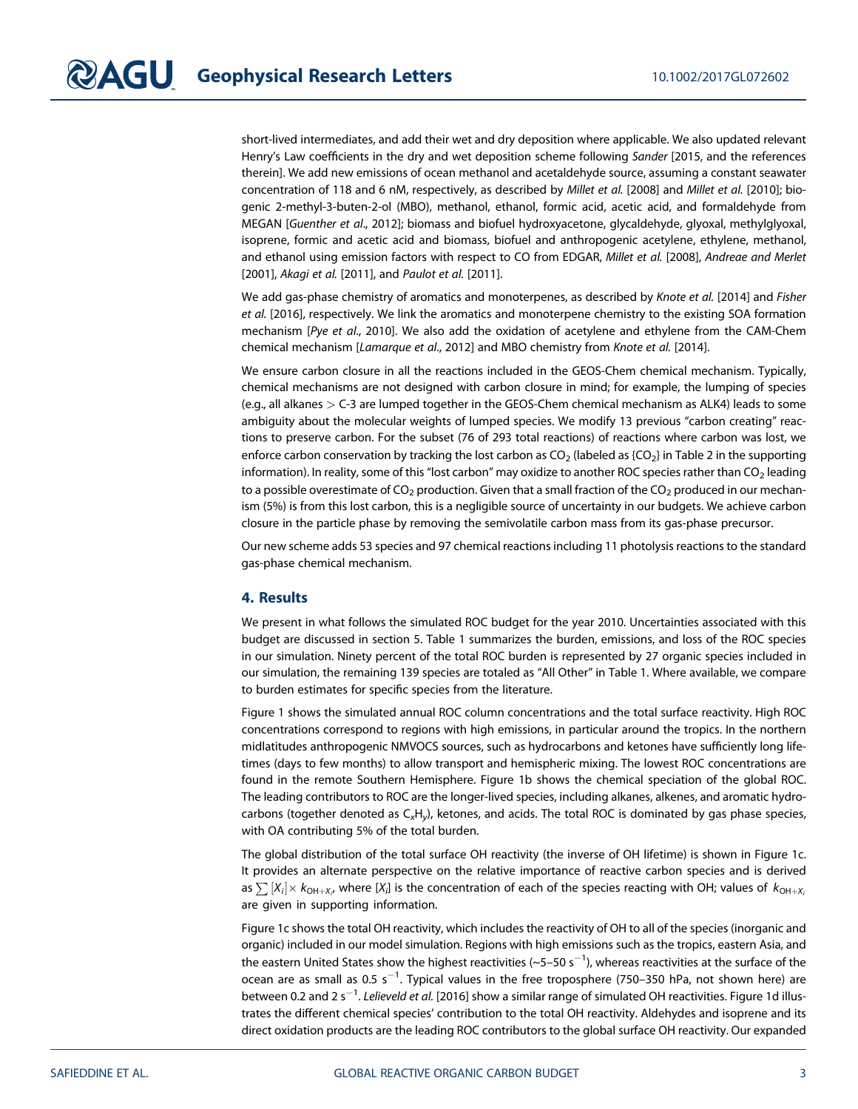short-lived intermediates, and add their wet and dry deposition where applicable. We also updated relevant Henry's Law coefficients in the dry and wet deposition scheme following Sander [2015, and the references therein]. We add new emissions of ocean methanol and acetaldehyde source, assuming a constant seawater concentration of 118 and 6 nM, respectively, as described by Millet et al. [2008] and Millet et al. [2010]; biogenic 2-methyl-3-buten-2-ol (MBO), methanol, ethanol, formic acid, acetic acid, and formaldehyde from MEGAN [Guenther et al., 2012]; biomass and biofuel hydroxyacetone, glycaldehyde, glyoxal, methylglyoxal, isoprene, formic and acetic acid and biomass, biofuel and anthropogenic acetylene, ethylene, methanol, and ethanol using emission factors with respect to CO from EDGAR, Millet et al. [2008], Andreae and Merlet [2001], Akagi et al. [2011], and Paulot et al. [2011].

We add gas-phase chemistry of aromatics and monoterpenes, as described by Knote et al. [2014] and Fisher et al. [2016], respectively. We link the aromatics and monoterpene chemistry to the existing SOA formation mechanism [Pye et al., 2010]. We also add the oxidation of acetylene and ethylene from the CAM-Chem chemical mechanism [Lamarque et al., 2012] and MBO chemistry from Knote et al. [2014].

We ensure carbon closure in all the reactions included in the GEOS-Chem chemical mechanism. Typically, chemical mechanisms are not designed with carbon closure in mind; for example, the lumping of species (e.g., all alkanes > C-3 are lumped together in the GEOS-Chem chemical mechanism as ALK4) leads to some ambiguity about the molecular weights of lumped species. We modify 13 previous "carbon creating" reactions to preserve carbon. For the subset (76 of 293 total reactions) of reactions where carbon was lost, we enforce carbon conservation by tracking the lost carbon as  $CO<sub>2</sub>$  (labeled as { $CO<sub>2</sub>$ } in Table 2 in the supporting information). In reality, some of this "lost carbon" may oxidize to another ROC species rather than  $CO<sub>2</sub>$  leading to a possible overestimate of  $CO<sub>2</sub>$  production. Given that a small fraction of the  $CO<sub>2</sub>$  produced in our mechanism (5%) is from this lost carbon, this is a negligible source of uncertainty in our budgets. We achieve carbon closure in the particle phase by removing the semivolatile carbon mass from its gas-phase precursor.

Our new scheme adds 53 species and 97 chemical reactions including 11 photolysis reactions to the standard gas-phase chemical mechanism.

#### 4. Results

We present in what follows the simulated ROC budget for the year 2010. Uncertainties associated with this budget are discussed in section 5. Table 1 summarizes the burden, emissions, and loss of the ROC species in our simulation. Ninety percent of the total ROC burden is represented by 27 organic species included in our simulation, the remaining 139 species are totaled as "All Other" in Table 1. Where available, we compare to burden estimates for specific species from the literature.

Figure 1 shows the simulated annual ROC column concentrations and the total surface reactivity. High ROC concentrations correspond to regions with high emissions, in particular around the tropics. In the northern midlatitudes anthropogenic NMVOCS sources, such as hydrocarbons and ketones have sufficiently long lifetimes (days to few months) to allow transport and hemispheric mixing. The lowest ROC concentrations are found in the remote Southern Hemisphere. Figure 1b shows the chemical speciation of the global ROC. The leading contributors to ROC are the longer-lived species, including alkanes, alkenes, and aromatic hydrocarbons (together denoted as  $C_xH_y$ ), ketones, and acids. The total ROC is dominated by gas phase species, with OA contributing 5% of the total burden.

The global distribution of the total surface OH reactivity (the inverse of OH lifetime) is shown in Figure 1c. It provides an alternate perspective on the relative importance of reactive carbon species and is derived as  $\sum [X_i]\times k_{\mathsf{OH}+X_{i'}}$  where  $[X_i]$  is the concentration of each of the species reacting with OH; values of  $k_{\mathsf{OH}+X_i}$ are given in supporting information.

Figure 1c shows the total OH reactivity, which includes the reactivity of OH to all of the species (inorganic and organic) included in our model simulation. Regions with high emissions such as the tropics, eastern Asia, and the eastern United States show the highest reactivities (~5–50 s $^{-1}$ ), whereas reactivities at the surface of the ocean are as small as 0.5 s $^{-1}$ . Typical values in the free troposphere (750–350 hPa, not shown here) are between 0.2 and 2 s $^{-1}$ . *Lelieveld et al*. [2016] show a similar range of simulated OH reactivities. Figure 1d illustrates the different chemical species' contribution to the total OH reactivity. Aldehydes and isoprene and its direct oxidation products are the leading ROC contributors to the global surface OH reactivity. Our expanded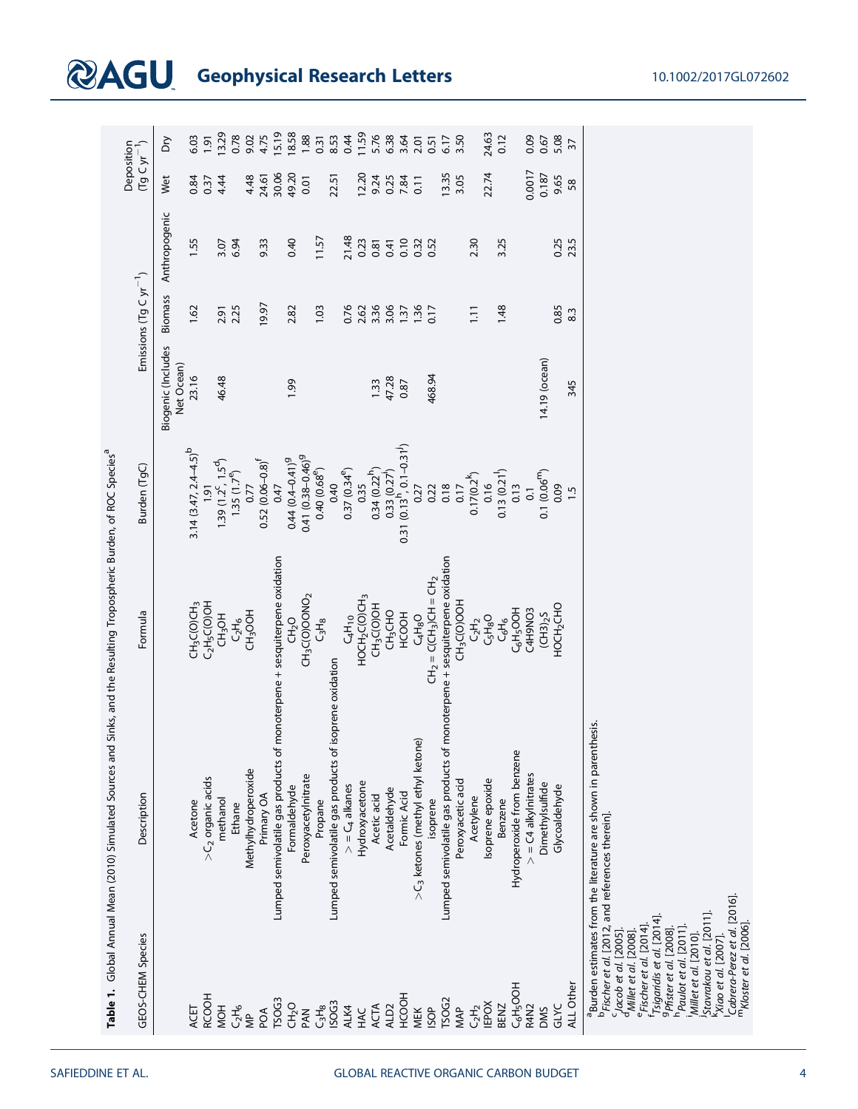| י<br>גרי<br>l<br>i<br>$\mathcal{L}^{\text{max}}_{\text{max}}$<br>j<br>I<br>)<br>)<br>I<br>I |  |
|---------------------------------------------------------------------------------------------|--|
| l<br>į<br>l                                                                                 |  |

|                                                                                                                                                |                                                                             |                                    |                                  |                                      |                      | Deposition |
|------------------------------------------------------------------------------------------------------------------------------------------------|-----------------------------------------------------------------------------|------------------------------------|----------------------------------|--------------------------------------|----------------------|------------|
| Description                                                                                                                                    | Formula                                                                     | Burden (TgC)                       |                                  | Emissions (Tg C $yr^{-1}$ )          |                      |            |
|                                                                                                                                                |                                                                             |                                    | Biogenic (Includes<br>Net Ocean) | <b>Biomass</b>                       | Anthropogenic        |            |
| $>C2$ organic acids<br>Acetone                                                                                                                 | CH <sub>3</sub> C(O)CH <sub>3</sub><br>C <sub>2</sub> H <sub>5</sub> C(O)OH | $3.14(3.47, 2.4 - 4.5)^{\text{b}}$ | 23.16                            | 1.62                                 | 1.55                 |            |
| methanol                                                                                                                                       | CH <sub>3</sub> OH                                                          | $1.39(1.2^c, 1.5^d)$               | 46.48                            | 2.91                                 |                      |            |
| Ethane                                                                                                                                         | $C_2H_6$                                                                    | $1.35(1.7^e)$                      |                                  | 2.25                                 | 3.07<br>6.94         |            |
| Methylhydroperoxide                                                                                                                            | CH <sub>3</sub> OOH                                                         | 0.77                               |                                  |                                      |                      |            |
| Primary OA                                                                                                                                     |                                                                             | $0.52(0.06 - 0.8)^f$               |                                  | 19.97                                | 9.33                 |            |
| Lumped semivolatile gas products of monoterpene + sesquiterpene oxidation                                                                      |                                                                             | 0.47                               |                                  |                                      |                      |            |
| Formaldehyde                                                                                                                                   | CH <sub>2</sub> O                                                           | $0.44(0.4-0.41)^9$                 | 1.99                             | 2.82                                 | 0.40                 |            |
| Peroxyacetylnitrate                                                                                                                            | $CH_3C(O)OONO2$                                                             | $0.41(0.38 - 0.46)^9$              |                                  |                                      |                      |            |
| Propane                                                                                                                                        | $C_3H_8$                                                                    | $0.40(0.68^{\circ})$               |                                  | 1.03                                 | 11.57                |            |
| Lumped semivolatile gas products of isoprene oxidation                                                                                         |                                                                             | 0.40                               |                                  |                                      |                      |            |
| $>$ = $C_4$ alkanes                                                                                                                            | $C_4H_{10}$                                                                 | $0.37(0.34^e)$                     |                                  | 0.76                                 | 21.48                |            |
| Hydroxyacetone                                                                                                                                 | HOCH <sub>2</sub> C(O)CH <sub>3</sub>                                       | 0.35                               |                                  |                                      |                      |            |
| Acetic acid                                                                                                                                    | CH <sub>3</sub> C(O)OH                                                      | $0.34(0.22^{h})$                   | 1.33                             | 2.62<br>3.36                         | $0.23$<br>$0.81$     |            |
| Acetaldehyde                                                                                                                                   | CH <sub>3</sub> CHO                                                         | 0.33(0.27)                         | 47.28                            |                                      | 0.41                 |            |
| Formic Acid                                                                                                                                    | HCOOH                                                                       | $0.31(0.13^{h}, 0.1 - 0.31^{h})$   |                                  |                                      |                      |            |
| >C <sub>3</sub> ketones (methyl ethyl ketone)                                                                                                  | $C_4H_8O$                                                                   | 0.27                               |                                  | $3.36$<br>$1.36$<br>$1.56$<br>$0.17$ | 0.10<br>0.32<br>0.52 |            |
| isoprene                                                                                                                                       | $CH2 = C(CH3)CH = CH2$                                                      | 0.22                               | 468.94                           |                                      |                      |            |
| Lumped semivolatile gas products of monoterpene + sesquiterpene oxidation                                                                      |                                                                             | 0.18                               |                                  |                                      |                      |            |
| Peroxyacetic acid                                                                                                                              | CH <sub>3</sub> C(O)OOH                                                     | 0.17                               |                                  |                                      |                      |            |
| Acetylene                                                                                                                                      | $C_2H_2$                                                                    | $0.17(0.2^k)$                      |                                  | $\overline{11}$                      | 2.30                 |            |
| Isoprene epoxide                                                                                                                               | $C_5H_8O$                                                                   | 0.16                               |                                  |                                      |                      |            |
| <b>Benzene</b>                                                                                                                                 | $6H_6$                                                                      | 0.13(0.21 <sup>1</sup> )           |                                  | 1.48                                 | 3.25                 |            |
| Hydroperoxide from benzene                                                                                                                     | C <sub>6</sub> H <sub>5</sub> OOH                                           | 0.13                               |                                  |                                      |                      |            |
| $>$ = C4 alkylnitrates                                                                                                                         | C4H9NO3                                                                     | $\overline{0}$                     |                                  |                                      |                      |            |
| Dimethylsulfide                                                                                                                                | $CH3)_{2}S$                                                                 | $0.1(0.06^{m})$                    | 14.19 (ocean)                    |                                      |                      |            |
| Glycoaldehyde                                                                                                                                  | HOCH <sub>2</sub> CHO                                                       | 0.09                               |                                  | 0.85                                 | 0.25<br>23.5         |            |
|                                                                                                                                                |                                                                             | $\ddot{1}$                         | 345                              | $\frac{3}{8}$                        |                      |            |
| esis.<br><sup>a</sup> Burden estimates from the literature are shown in parenth<br><sup>b</sup> Fischer et al. [2012, and references therein]. |                                                                             |                                    |                                  |                                      |                      |            |
|                                                                                                                                                |                                                                             |                                    |                                  |                                      |                      |            |
|                                                                                                                                                |                                                                             |                                    |                                  |                                      |                      |            |
|                                                                                                                                                |                                                                             |                                    |                                  |                                      |                      |            |
|                                                                                                                                                |                                                                             |                                    |                                  |                                      |                      |            |
|                                                                                                                                                |                                                                             |                                    |                                  |                                      |                      |            |
|                                                                                                                                                |                                                                             |                                    |                                  |                                      |                      |            |
|                                                                                                                                                |                                                                             |                                    |                                  |                                      |                      |            |

mKloster et al. [2006].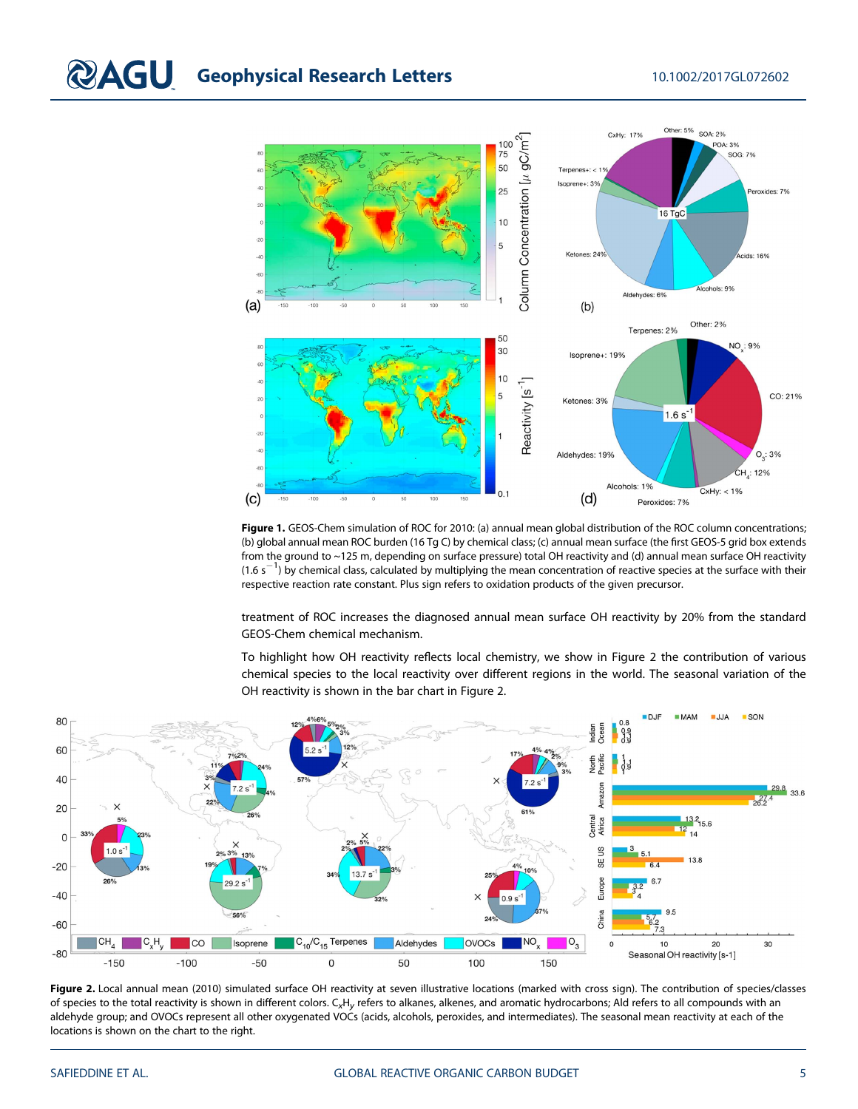# **CAGU** Geophysical Research Letters 10.1002/2017GL072602



Figure 1. GEOS-Chem simulation of ROC for 2010: (a) annual mean global distribution of the ROC column concentrations; (b) global annual mean ROC burden (16 Tg C) by chemical class; (c) annual mean surface (the first GEOS-5 grid box extends from the ground to ~125 m, depending on surface pressure) total OH reactivity and (d) annual mean surface OH reactivity  $(1.6 s<sup>-1</sup>)$  by chemical class, calculated by multiplying the mean concentration of reactive species at the surface with their respective reaction rate constant. Plus sign refers to oxidation products of the given precursor.

treatment of ROC increases the diagnosed annual mean surface OH reactivity by 20% from the standard GEOS-Chem chemical mechanism.

To highlight how OH reactivity reflects local chemistry, we show in Figure 2 the contribution of various chemical species to the local reactivity over different regions in the world. The seasonal variation of the OH reactivity is shown in the bar chart in Figure 2.



Figure 2. Local annual mean (2010) simulated surface OH reactivity at seven illustrative locations (marked with cross sign). The contribution of species/classes of species to the total reactivity is shown in different colors.  $C_xH_y$  refers to alkanes, alkenes, and aromatic hydrocarbons; Ald refers to all compounds with an aldehyde group; and OVOCs represent all other oxygenated VOCs (acids, alcohols, peroxides, and intermediates). The seasonal mean reactivity at each of the locations is shown on the chart to the right.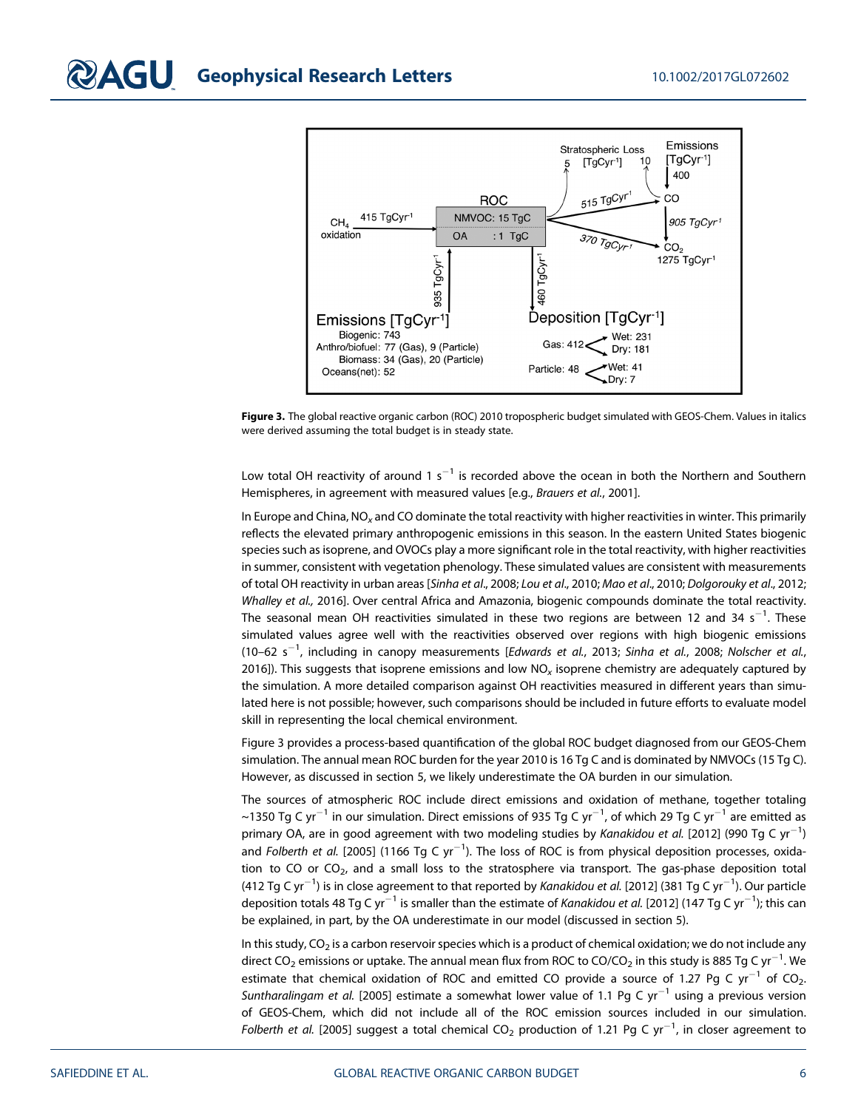

Figure 3. The global reactive organic carbon (ROC) 2010 tropospheric budget simulated with GEOS-Chem. Values in italics were derived assuming the total budget is in steady state.

Low total OH reactivity of around 1  $s^{-1}$  is recorded above the ocean in both the Northern and Southern Hemispheres, in agreement with measured values [e.g., Brauers et al., 2001].

In Europe and China,  $NO<sub>x</sub>$  and CO dominate the total reactivity with higher reactivities in winter. This primarily reflects the elevated primary anthropogenic emissions in this season. In the eastern United States biogenic species such as isoprene, and OVOCs play a more significant role in the total reactivity, with higher reactivities in summer, consistent with vegetation phenology. These simulated values are consistent with measurements of total OH reactivity in urban areas [Sinha et al., 2008; Lou et al., 2010; Mao et al., 2010; Dolgorouky et al., 2012; Whalley et al., 2016]. Over central Africa and Amazonia, biogenic compounds dominate the total reactivity. The seasonal mean OH reactivities simulated in these two regions are between 12 and 34  $\text{s}^{-1}$ . These simulated values agree well with the reactivities observed over regions with high biogenic emissions (10–62 s<sup>-1</sup>, including in canopy measurements [*Edwards et al.*, 2013; Sinha et al., 2008; Nolscher et al., 2016]). This suggests that isoprene emissions and low  $NO<sub>x</sub>$  isoprene chemistry are adeguately captured by the simulation. A more detailed comparison against OH reactivities measured in different years than simulated here is not possible; however, such comparisons should be included in future efforts to evaluate model skill in representing the local chemical environment.

Figure 3 provides a process-based quantification of the global ROC budget diagnosed from our GEOS-Chem simulation. The annual mean ROC burden for the year 2010 is 16 Tg C and is dominated by NMVOCs (15 Tg C). However, as discussed in section 5, we likely underestimate the OA burden in our simulation.

The sources of atmospheric ROC include direct emissions and oxidation of methane, together totaling ~1350 Tg C yr $^{-1}$  in our simulation. Direct emissions of 935 Tg C yr $^{-1}$ , of which 29 Tg C yr $^{-1}$  are emitted as primary OA, are in good agreement with two modeling studies by *Kanakidou et al*. [2012] (990 Tg C yr $^{-1})$ and Folberth et al. [2005] (1166 Tg C yr $^{-1}$ ). The loss of ROC is from physical deposition processes, oxidation to CO or CO<sub>2</sub>, and a small loss to the stratosphere via transport. The gas-phase deposition total (412 Tg C yr $^{-1}$ ) is in close agreement to that reported by *Kanakidou et al*. [2012] (381 Tg C yr $^{-1}$ ). Our particle deposition totals 48 Tg C yr $^{-1}$  is smaller than the estimate of *Kanakidou et al*. [2012] (147 Tg C yr $^{-1}$ ); this can be explained, in part, by the OA underestimate in our model (discussed in section 5).

In this study, CO2 is a carbon reservoir species which is a product of chemical oxidation; we do not include any direct CO<sub>2</sub> emissions or uptake. The annual mean flux from ROC to CO/CO<sub>2</sub> in this study is 885 Tg C yr $^{-1}$ . We estimate that chemical oxidation of ROC and emitted CO provide a source of 1.27 Pg C yr<sup>-1</sup> of CO<sub>2</sub>. Suntharalingam et al. [2005] estimate a somewhat lower value of 1.1 Pg C  $vr^{-1}$  using a previous version of GEOS-Chem, which did not include all of the ROC emission sources included in our simulation. Folberth et al. [2005] suggest a total chemical CO<sub>2</sub> production of 1.21 Pg C yr $^{-1}$ , in closer agreement to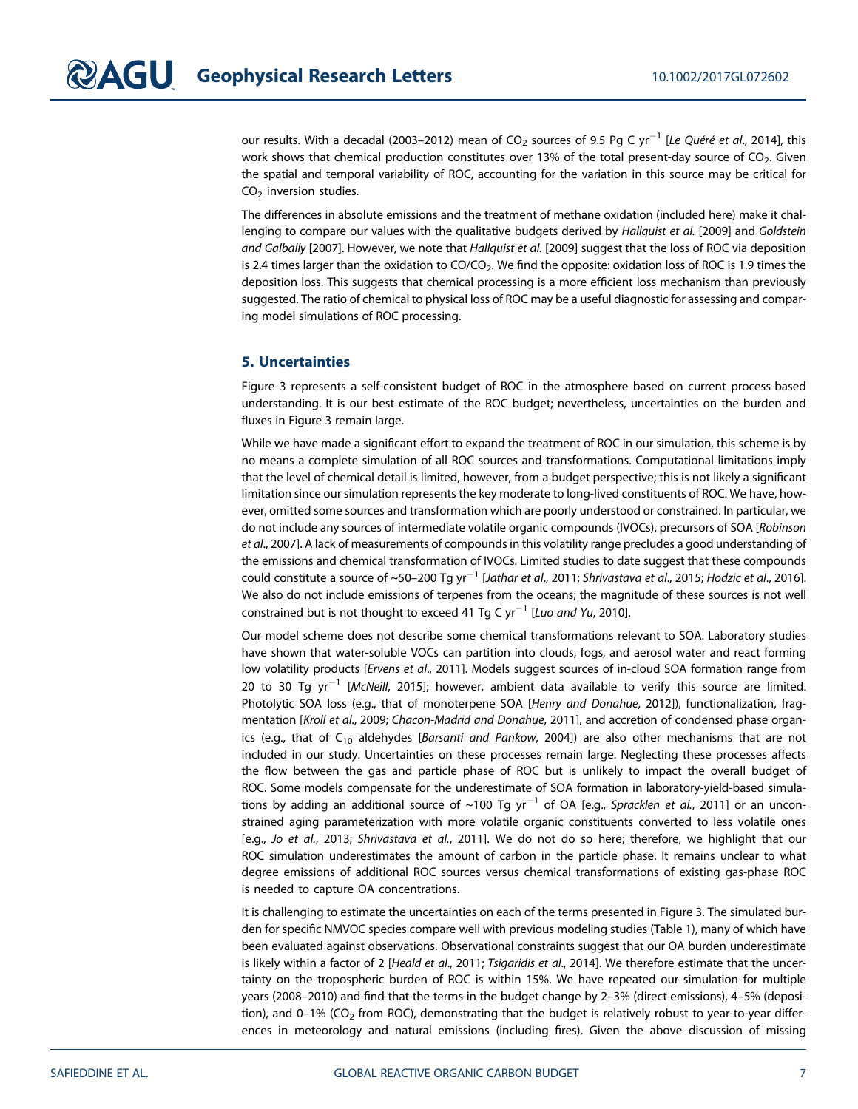our results. With a decadal (2003–2012) mean of CO<sub>2</sub> sources of 9.5 Pg C yr<sup>-1</sup> [Le Quéré et al., 2014], this work shows that chemical production constitutes over 13% of the total present-day source of CO<sub>2</sub>. Given the spatial and temporal variability of ROC, accounting for the variation in this source may be critical for  $CO<sub>2</sub>$  inversion studies.

The differences in absolute emissions and the treatment of methane oxidation (included here) make it challenging to compare our values with the qualitative budgets derived by Hallquist et al. [2009] and Goldstein and Galbally [2007]. However, we note that Hallquist et al. [2009] suggest that the loss of ROC via deposition is 2.4 times larger than the oxidation to  $CO/CO<sub>2</sub>$ . We find the opposite: oxidation loss of ROC is 1.9 times the deposition loss. This suggests that chemical processing is a more efficient loss mechanism than previously suggested. The ratio of chemical to physical loss of ROC may be a useful diagnostic for assessing and comparing model simulations of ROC processing.

#### 5. Uncertainties

Figure 3 represents a self-consistent budget of ROC in the atmosphere based on current process-based understanding. It is our best estimate of the ROC budget; nevertheless, uncertainties on the burden and fluxes in Figure 3 remain large.

While we have made a significant effort to expand the treatment of ROC in our simulation, this scheme is by no means a complete simulation of all ROC sources and transformations. Computational limitations imply that the level of chemical detail is limited, however, from a budget perspective; this is not likely a significant limitation since our simulation represents the key moderate to long-lived constituents of ROC. We have, however, omitted some sources and transformation which are poorly understood or constrained. In particular, we do not include any sources of intermediate volatile organic compounds (IVOCs), precursors of SOA [Robinson et al., 2007]. A lack of measurements of compounds in this volatility range precludes a good understanding of the emissions and chemical transformation of IVOCs. Limited studies to date suggest that these compounds could constitute a source of ~50-200 Tg yr<sup>-1</sup> [Jathar et al., 2011; Shrivastava et al., 2015; Hodzic et al., 2016]. We also do not include emissions of terpenes from the oceans; the magnitude of these sources is not well constrained but is not thought to exceed 41 Tg C  $yr^{-1}$  [Luo and Yu, 2010].

Our model scheme does not describe some chemical transformations relevant to SOA. Laboratory studies have shown that water-soluble VOCs can partition into clouds, fogs, and aerosol water and react forming low volatility products [Ervens et al., 2011]. Models suggest sources of in-cloud SOA formation range from 20 to 30 Tg  $yr^{-1}$  [McNeill, 2015]; however, ambient data available to verify this source are limited. Photolytic SOA loss (e.g., that of monoterpene SOA [Henry and Donahue, 2012]), functionalization, fragmentation [Kroll et al., 2009; Chacon-Madrid and Donahue, 2011], and accretion of condensed phase organics (e.g., that of C<sub>10</sub> aldehydes [Barsanti and Pankow, 2004]) are also other mechanisms that are not included in our study. Uncertainties on these processes remain large. Neglecting these processes affects the flow between the gas and particle phase of ROC but is unlikely to impact the overall budget of ROC. Some models compensate for the underestimate of SOA formation in laboratory-yield-based simulations by adding an additional source of ~100 Tg  $yr^{-1}$  of OA [e.g., Spracklen et al., 2011] or an unconstrained aging parameterization with more volatile organic constituents converted to less volatile ones [e.g., Jo et al., 2013; Shrivastava et al., 2011]. We do not do so here; therefore, we highlight that our ROC simulation underestimates the amount of carbon in the particle phase. It remains unclear to what degree emissions of additional ROC sources versus chemical transformations of existing gas-phase ROC is needed to capture OA concentrations.

It is challenging to estimate the uncertainties on each of the terms presented in Figure 3. The simulated burden for specific NMVOC species compare well with previous modeling studies (Table 1), many of which have been evaluated against observations. Observational constraints suggest that our OA burden underestimate is likely within a factor of 2 [Heald et al., 2011; Tsigaridis et al., 2014]. We therefore estimate that the uncertainty on the tropospheric burden of ROC is within 15%. We have repeated our simulation for multiple years (2008–2010) and find that the terms in the budget change by 2–3% (direct emissions), 4–5% (deposition), and 0–1% (CO<sub>2</sub> from ROC), demonstrating that the budget is relatively robust to year-to-year differences in meteorology and natural emissions (including fires). Given the above discussion of missing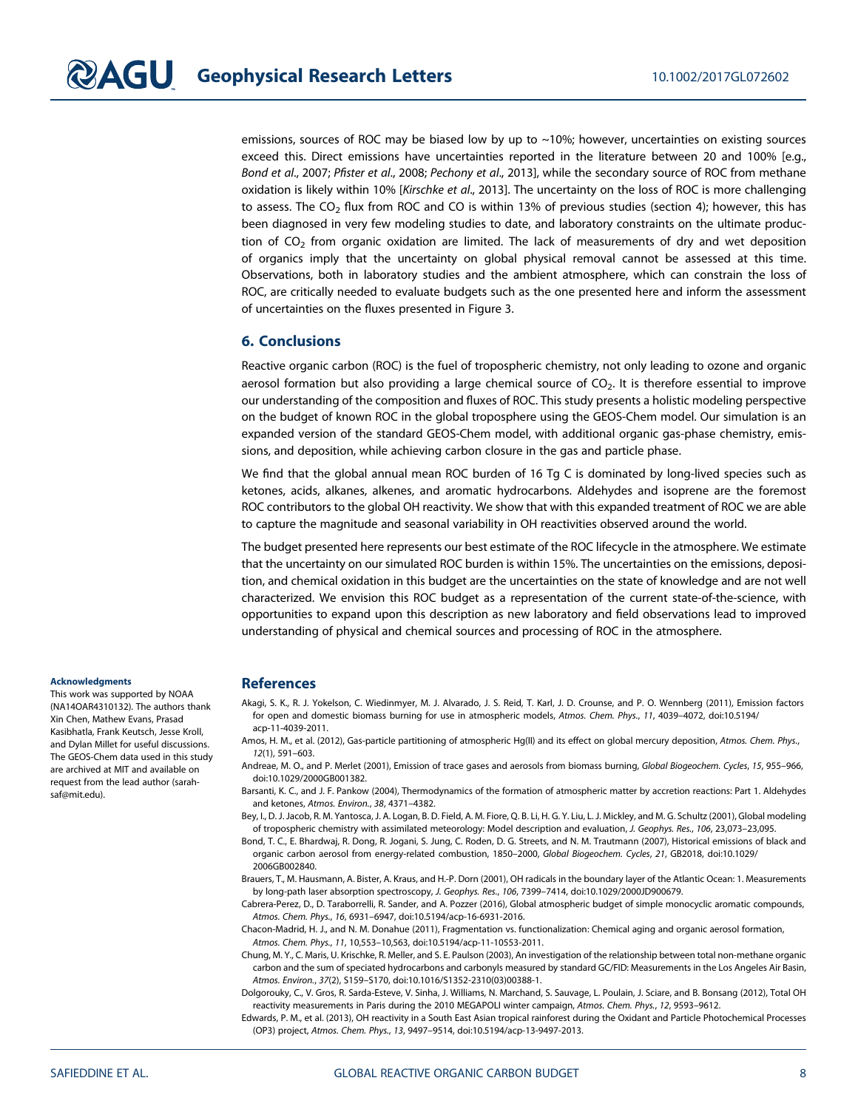emissions, sources of ROC may be biased low by up to ~10%; however, uncertainties on existing sources exceed this. Direct emissions have uncertainties reported in the literature between 20 and 100% [e.g., Bond et al., 2007; Pfister et al., 2008; Pechony et al., 2013], while the secondary source of ROC from methane oxidation is likely within 10% [Kirschke et al., 2013]. The uncertainty on the loss of ROC is more challenging to assess. The CO<sub>2</sub> flux from ROC and CO is within 13% of previous studies (section 4); however, this has been diagnosed in very few modeling studies to date, and laboratory constraints on the ultimate production of CO<sub>2</sub> from organic oxidation are limited. The lack of measurements of dry and wet deposition of organics imply that the uncertainty on global physical removal cannot be assessed at this time. Observations, both in laboratory studies and the ambient atmosphere, which can constrain the loss of ROC, are critically needed to evaluate budgets such as the one presented here and inform the assessment of uncertainties on the fluxes presented in Figure 3.

## 6. Conclusions

Reactive organic carbon (ROC) is the fuel of tropospheric chemistry, not only leading to ozone and organic aerosol formation but also providing a large chemical source of  $CO<sub>2</sub>$ . It is therefore essential to improve our understanding of the composition and fluxes of ROC. This study presents a holistic modeling perspective on the budget of known ROC in the global troposphere using the GEOS-Chem model. Our simulation is an expanded version of the standard GEOS-Chem model, with additional organic gas-phase chemistry, emissions, and deposition, while achieving carbon closure in the gas and particle phase.

We find that the global annual mean ROC burden of 16 Tg C is dominated by long-lived species such as ketones, acids, alkanes, alkenes, and aromatic hydrocarbons. Aldehydes and isoprene are the foremost ROC contributors to the global OH reactivity. We show that with this expanded treatment of ROC we are able to capture the magnitude and seasonal variability in OH reactivities observed around the world.

The budget presented here represents our best estimate of the ROC lifecycle in the atmosphere. We estimate that the uncertainty on our simulated ROC burden is within 15%. The uncertainties on the emissions, deposition, and chemical oxidation in this budget are the uncertainties on the state of knowledge and are not well characterized. We envision this ROC budget as a representation of the current state-of-the-science, with opportunities to expand upon this description as new laboratory and field observations lead to improved understanding of physical and chemical sources and processing of ROC in the atmosphere.

#### Acknowledgments

This work was supported by NOAA (NA14OAR4310132). The authors thank Xin Chen, Mathew Evans, Prasad Kasibhatla, Frank Keutsch, Jesse Kroll, and Dylan Millet for useful discussions. The GEOS-Chem data used in this study are archived at MIT and available on request from the lead author ([sarah](mailto:sarahsaf@mit.edu)[saf@mit.edu\)](mailto:sarahsaf@mit.edu).

#### References

- Akagi, S. K., R. J. Yokelson, C. Wiedinmyer, M. J. Alvarado, J. S. Reid, T. Karl, J. D. Crounse, and P. O. Wennberg (2011), Emission factors for open and domestic biomass burning for use in atmospheric models, Atmos. Chem. Phys., 11, 4039–4072, doi:[10.5194/](https://doi.org/10.5194/acp-11-4039-2011) [acp-11-4039-2011](https://doi.org/10.5194/acp-11-4039-2011).
- Amos, H. M., et al. (2012), Gas-particle partitioning of atmospheric Hg(II) and its effect on global mercury deposition, Atmos. Chem. Phys., 12(1), 591–603.
- Andreae, M. O., and P. Merlet (2001), Emission of trace gases and aerosols from biomass burning, Global Biogeochem. Cycles, 15, 955–966, doi[:10.1029/2000GB001382.](https://doi.org/10.1029/2000GB001382)
- Barsanti, K. C., and J. F. Pankow (2004), Thermodynamics of the formation of atmospheric matter by accretion reactions: Part 1. Aldehydes and ketones, Atmos. Environ., 38, 4371–4382.
- Bey, I., D. J. Jacob, R. M. Yantosca, J. A. Logan, B. D. Field, A. M. Fiore, Q. B. Li, H. G. Y. Liu, L. J. Mickley, and M. G. Schultz (2001), Global modeling of tropospheric chemistry with assimilated meteorology: Model description and evaluation, J. Geophys. Res., 106, 23,073–23,095.
- Bond, T. C., E. Bhardwaj, R. Dong, R. Jogani, S. Jung, C. Roden, D. G. Streets, and N. M. Trautmann (2007), Historical emissions of black and organic carbon aerosol from energy-related combustion, 1850–2000, Global Biogeochem. Cycles, 21, GB2018, doi:[10.1029/](https://doi.org/10.1029/2006GB002840) [2006GB002840.](https://doi.org/10.1029/2006GB002840)
- Brauers, T., M. Hausmann, A. Bister, A. Kraus, and H.-P. Dorn (2001), OH radicals in the boundary layer of the Atlantic Ocean: 1. Measurements by long-path laser absorption spectroscopy, J. Geophys. Res., 106, 7399–7414, doi[:10.1029/2000JD900679](https://doi.org/10.1029/2000JD900679).
- Cabrera-Perez, D., D. Taraborrelli, R. Sander, and A. Pozzer (2016), Global atmospheric budget of simple monocyclic aromatic compounds, Atmos. Chem. Phys., 16, 6931–6947, doi[:10.5194/acp-16-6931-2016](https://doi.org/10.5194/acp-16-6931-2016).
- Chacon-Madrid, H. J., and N. M. Donahue (2011), Fragmentation vs. functionalization: Chemical aging and organic aerosol formation, Atmos. Chem. Phys., 11, 10,553–10,563, doi[:10.5194/acp-11-10553-2011.](https://doi.org/10.5194/acp-11-10553-2011)
- Chung, M. Y., C. Maris, U. Krischke, R. Meller, and S. E. Paulson (2003), An investigation of the relationship between total non-methane organic carbon and the sum of speciated hydrocarbons and carbonyls measured by standard GC/FID: Measurements in the Los Angeles Air Basin, Atmos. Environ., 37(2), S159–S170, doi[:10.1016/S1352-2310\(03\)00388-1](https://doi.org/10.1016/S1352-2310(03)00388-1).
- Dolgorouky, C., V. Gros, R. Sarda-Esteve, V. Sinha, J. Williams, N. Marchand, S. Sauvage, L. Poulain, J. Sciare, and B. Bonsang (2012), Total OH reactivity measurements in Paris during the 2010 MEGAPOLI winter campaign, Atmos. Chem. Phys., 12, 9593–9612.
- Edwards, P. M., et al. (2013), OH reactivity in a South East Asian tropical rainforest during the Oxidant and Particle Photochemical Processes (OP3) project, Atmos. Chem. Phys., 13, 9497–9514, doi[:10.5194/acp-13-9497-2013](https://doi.org/10.5194/acp-13-9497-2013).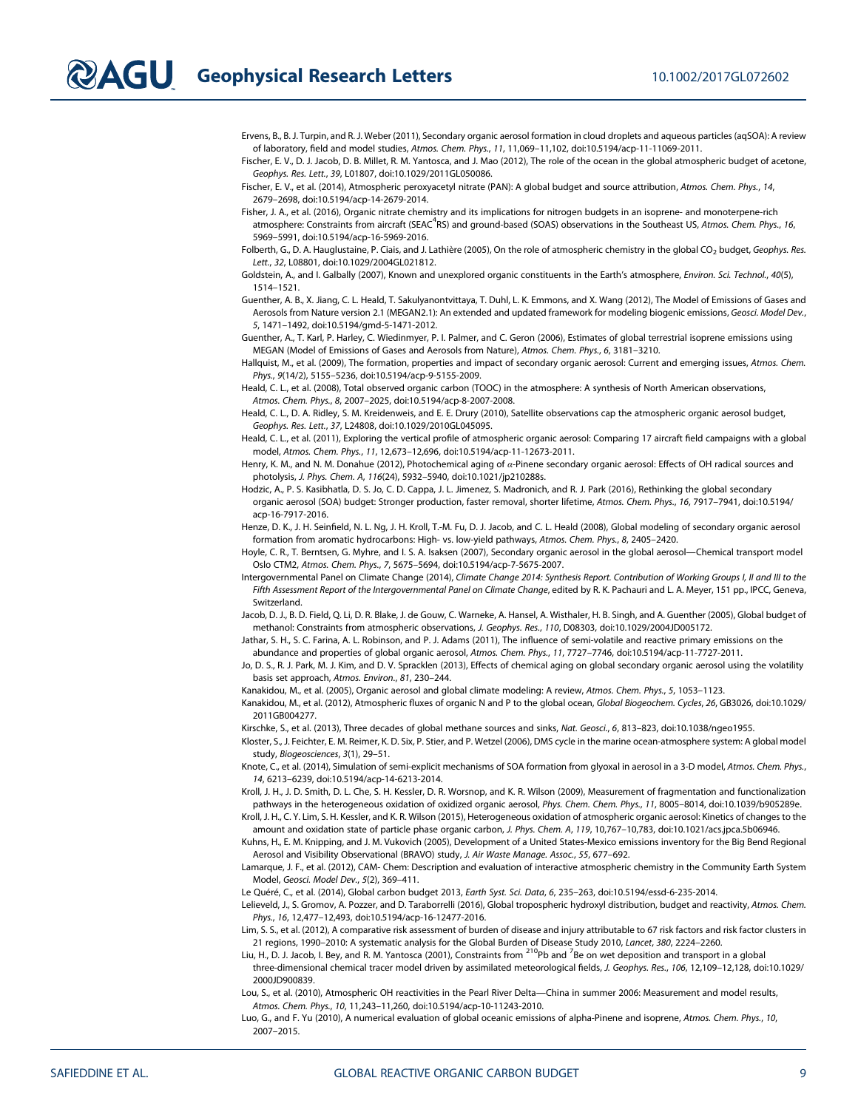- Ervens, B., B. J. Turpin, and R. J. Weber (2011), Secondary organic aerosol formation in cloud droplets and aqueous particles (aqSOA): A review of laboratory, field and model studies, Atmos. Chem. Phys., 11, 11,069–11,102, doi:[10.5194/acp-11-11069-2011.](https://doi.org/10.5194/acp-11-11069-2011)
- Fischer, E. V., D. J. Jacob, D. B. Millet, R. M. Yantosca, and J. Mao (2012), The role of the ocean in the global atmospheric budget of acetone, Geophys. Res. Lett., 39, L01807, doi[:10.1029/2011GL050086](https://doi.org/10.1029/2011GL050086).
- Fischer, E. V., et al. (2014), Atmospheric peroxyacetyl nitrate (PAN): A global budget and source attribution, Atmos. Chem. Phys., 14, 2679–2698, doi:[10.5194/acp-14-2679-2014](https://doi.org/10.5194/acp-14-2679-2014).
- Fisher, J. A., et al. (2016), Organic nitrate chemistry and its implications for nitrogen budgets in an isoprene- and monoterpene-rich atmosphere: Constraints from aircraft (SEAC<sup>4</sup>RS) and ground-based (SOAS) observations in the Southeast US, Atmos. Chem. Phys., 16, 5969–5991, doi:[10.5194/acp-16-5969-2016](https://doi.org/10.5194/acp-16-5969-2016).
- Folberth, G., D. A. Hauglustaine, P. Ciais, and J. Lathière (2005), On the role of atmospheric chemistry in the global CO<sub>2</sub> budget, Geophys. Res. Lett., 32, L08801, doi[:10.1029/2004GL021812.](https://doi.org/10.1029/2004GL021812)
- Goldstein, A., and I. Galbally (2007). Known and unexplored organic constituents in the Earth's atmosphere, Environ, Sci. Technol., 40(5). 1514–1521.
- Guenther, A. B., X. Jiang, C. L. Heald, T. Sakulyanontvittaya, T. Duhl, L. K. Emmons, and X. Wang (2012), The Model of Emissions of Gases and Aerosols from Nature version 2.1 (MEGAN2.1): An extended and updated framework for modeling biogenic emissions, Geosci. Model Dev., 5, 1471–1492, doi[:10.5194/gmd-5-1471-2012.](https://doi.org/10.5194/gmd-5-1471-2012)

Guenther, A., T. Karl, P. Harley, C. Wiedinmyer, P. I. Palmer, and C. Geron (2006), Estimates of global terrestrial isoprene emissions using MEGAN (Model of Emissions of Gases and Aerosols from Nature), Atmos. Chem. Phys., 6, 3181–3210.

Hallquist, M., et al. (2009), The formation, properties and impact of secondary organic aerosol: Current and emerging issues, Atmos. Chem. Phys., 9(14/2), 5155–5236, doi:[10.5194/acp-9-5155-2009](https://doi.org/10.5194/acp-9-5155-2009).

Heald, C. L., et al. (2008), Total observed organic carbon (TOOC) in the atmosphere: A synthesis of North American observations, Atmos. Chem. Phys., 8, 2007–2025, doi:[10.5194/acp-8-2007-2008](https://doi.org/10.5194/acp-8-2007-2008).

- Heald, C. L., D. A. Ridley, S. M. Kreidenweis, and E. E. Drury (2010), Satellite observations cap the atmospheric organic aerosol budget, Geophys. Res. Lett., 37, L24808, doi[:10.1029/2010GL045095](https://doi.org/10.1029/2010GL045095).
- Heald, C. L., et al. (2011), Exploring the vertical profile of atmospheric organic aerosol: Comparing 17 aircraft field campaigns with a global model, Atmos. Chem. Phys., 11, 12,673–12,696, doi[:10.5194/acp-11-12673-2011.](https://doi.org/10.5194/acp-11-12673-2011)
- Henry, K. M., and N. M. Donahue (2012), Photochemical aging of α-Pinene secondary organic aerosol: Effects of OH radical sources and photolysis, J. Phys. Chem. A, 116(24), 5932–5940, doi[:10.1021/jp210288s](https://doi.org/10.1021/jp210288s).
- Hodzic, A., P. S. Kasibhatla, D. S. Jo, C. D. Cappa, J. L. Jimenez, S. Madronich, and R. J. Park (2016), Rethinking the global secondary organic aerosol (SOA) budget: Stronger production, faster removal, shorter lifetime, Atmos. Chem. Phys., 16, 7917–7941, doi[:10.5194/](https://doi.org/10.5194/acp-16-7917-2016) [acp-16-7917-2016](https://doi.org/10.5194/acp-16-7917-2016).
- Henze, D. K., J. H. Seinfield, N. L. Ng, J. H. Kroll, T.-M. Fu, D. J. Jacob, and C. L. Heald (2008), Global modeling of secondary organic aerosol formation from aromatic hydrocarbons: High- vs. low-yield pathways, Atmos. Chem. Phys., 8, 2405–2420.
- Hoyle, C. R., T. Berntsen, G. Myhre, and I. S. A. Isaksen (2007), Secondary organic aerosol in the global aerosol—Chemical transport model Oslo CTM2, Atmos. Chem. Phys., 7, 5675–5694, doi:[10.5194/acp-7-5675-2007](https://doi.org/10.5194/acp-7-5675-2007).
- Intergovernmental Panel on Climate Change (2014), Climate Change 2014: Synthesis Report. Contribution of Working Groups I, II and III to the Fifth Assessment Report of the Intergovernmental Panel on Climate Change, edited by R. K. Pachauri and L. A. Meyer, 151 pp., IPCC, Geneva, Switzerland.
- Jacob, D. J., B. D. Field, Q. Li, D. R. Blake, J. de Gouw, C. Warneke, A. Hansel, A. Wisthaler, H. B. Singh, and A. Guenther (2005), Global budget of methanol: Constraints from atmospheric observations, J. Geophys. Res., 110, D08303, doi:[10.1029/2004JD005172.](https://doi.org/10.1029/2004JD005172)
- Jathar, S. H., S. C. Farina, A. L. Robinson, and P. J. Adams (2011), The influence of semi-volatile and reactive primary emissions on the abundance and properties of global organic aerosol, Atmos. Chem. Phys., 11, 7727–7746, doi:[10.5194/acp-11-7727-2011.](https://doi.org/10.5194/acp-11-7727-2011)
- Jo, D. S., R. J. Park, M. J. Kim, and D. V. Spracklen (2013), Effects of chemical aging on global secondary organic aerosol using the volatility basis set approach, Atmos. Environ., 81, 230–244.

Kanakidou, M., et al. (2005), Organic aerosol and global climate modeling: A review, Atmos. Chem. Phys., 5, 1053–1123.

Kanakidou, M., et al. (2012), Atmospheric fluxes of organic N and P to the global ocean, Global Biogeochem. Cycles, 26, GB3026, doi[:10.1029/](https://doi.org/10.1029/2011GB004277) [2011GB004277.](https://doi.org/10.1029/2011GB004277)

Kirschke, S., et al. (2013), Three decades of global methane sources and sinks, Nat. Geosci., 6, 813–823, doi:[10.1038/ngeo1955](https://doi.org/10.1038/ngeo1955).

Kloster, S., J. Feichter, E. M. Reimer, K. D. Six, P. Stier, and P. Wetzel (2006), DMS cycle in the marine ocean-atmosphere system: A global model study, Biogeosciences, 3(1), 29–51.

Knote, C., et al. (2014), Simulation of semi-explicit mechanisms of SOA formation from glyoxal in aerosol in a 3-D model, Atmos. Chem. Phys., 14, 6213–6239, doi:[10.5194/acp-14-6213-2014.](https://doi.org/10.5194/acp-14-6213-2014)

Kroll, J. H., J. D. Smith, D. L. Che, S. H. Kessler, D. R. Worsnop, and K. R. Wilson (2009), Measurement of fragmentation and functionalization pathways in the heterogeneous oxidation of oxidized organic aerosol, Phys. Chem. Chem. Phys., 11, 8005–8014, doi:[10.1039/b905289e.](https://doi.org/10.1039/b905289e)

Kroll, J. H., C. Y. Lim, S. H. Kessler, and K. R. Wilson (2015), Heterogeneous oxidation of atmospheric organic aerosol: Kinetics of changes to the amount and oxidation state of particle phase organic carbon, J. Phys. Chem. A, 119, 10,767–10,783, doi:[10.1021/acs.jpca.5b06946](https://doi.org/10.1021/acs.jpca.5b06946).

Kuhns, H., E. M. Knipping, and J. M. Vukovich (2005), Development of a United States-Mexico emissions inventory for the Big Bend Regional Aerosol and Visibility Observational (BRAVO) study, J. Air Waste Manage. Assoc., 55, 677–692.

Lamarque, J. F., et al. (2012), CAM- Chem: Description and evaluation of interactive atmospheric chemistry in the Community Earth System Model, Geosci. Model Dev., 5(2), 369–411.

Le Quéré, C., et al. (2014), Global carbon budget 2013, Earth Syst. Sci. Data, 6, 235–263, doi:[10.5194/essd-6-235-2014.](https://doi.org/10.5194/essd-6-235-2014)

- Lelieveld, J., S. Gromov, A. Pozzer, and D. Taraborrelli (2016), Global tropospheric hydroxyl distribution, budget and reactivity, Atmos. Chem. Phys., 16, 12,477–12,493, doi[:10.5194/acp-16-12477-2016.](https://doi.org/10.5194/acp-16-12477-2016)
- Lim, S. S., et al. (2012), A comparative risk assessment of burden of disease and injury attributable to 67 risk factors and risk factor clusters in
- 21 regions, 1990–2010: A systematic analysis for the Global Burden of Disease Study 2010, *Lancet, 380,* 2224–2260.<br>Liu, H., D. J. Jacob, I. Bey, and R. M. Yantosca (2001), Constraints from <sup>210</sup>Pb and <sup>7</sup>Be on wet deposit three-dimensional chemical tracer model driven by assimilated meteorological fields, J. Geophys. Res., 106, 12,109–12,128, doi:[10.1029/](https://doi.org/10.1029/2000JD900839) [2000JD900839](https://doi.org/10.1029/2000JD900839).
- Lou, S., et al. (2010), Atmospheric OH reactivities in the Pearl River Delta—China in summer 2006: Measurement and model results, Atmos. Chem. Phys., 10, 11,243–11,260, doi[:10.5194/acp-10-11243-2010.](https://doi.org/10.5194/acp-10-11243-2010)
- Luo, G., and F. Yu (2010), A numerical evaluation of global oceanic emissions of alpha-Pinene and isoprene, Atmos. Chem. Phys., 10, 2007–2015.